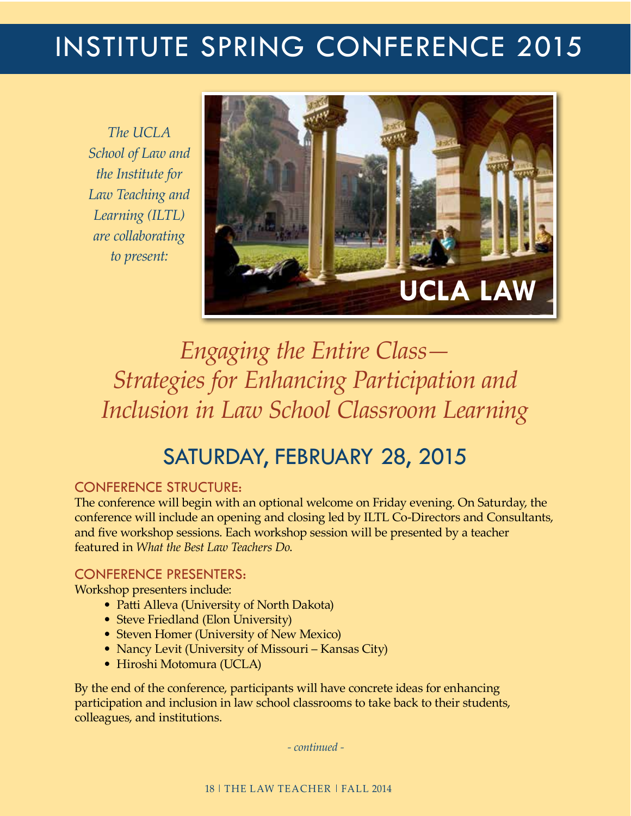# institute SPRING conference 2015

*The UCLA School of Law and the Institute for Law Teaching and Learning (ILTL) are collaborating to present:*



*Engaging the Entire Class— Strategies for Enhancing Participation and Inclusion in Law School Classroom Learning*

## Saturday, February 28, 2015

#### Conference Structure:

The conference will begin with an optional welcome on Friday evening. On Saturday, the conference will include an opening and closing led by ILTL Co-Directors and Consultants, and five workshop sessions. Each workshop session will be presented by a teacher featured in *What the Best Law Teachers Do*.

#### Conference Presenters:

Workshop presenters include:

- Patti Alleva (University of North Dakota)
- Steve Friedland (Elon University)
- Steven Homer (University of New Mexico)
- Nancy Levit (University of Missouri Kansas City)
- Hiroshi Motomura (UCLA)

By the end of the conference, participants will have concrete ideas for enhancing participation and inclusion in law school classrooms to take back to their students, colleagues, and institutions.

 *- continued -*